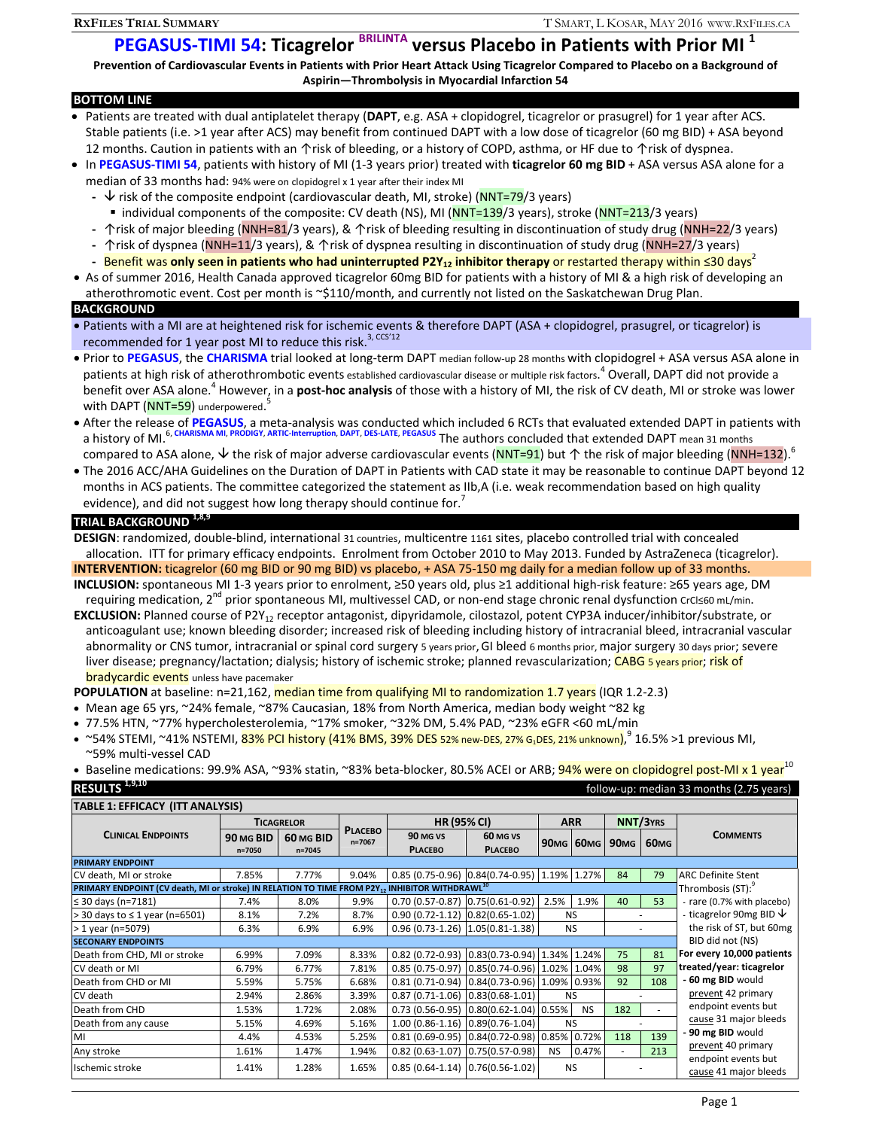# **PEGASUS‐TIMI 54: Ticagrelor BRILINTA versus Placebo in Patients with Prior MI <sup>1</sup>**

Prevention of Cardiovascular Events in Patients with Prior Heart Attack Using Ticagrelor Compared to Placebo on a Background of **Aspirin—Thrombolysis in Myocardial Infarction 54**

### **BOTTOM LINE**

- Patients are treated with dual antiplatelet therapy (**DAPT**, e.g. ASA + clopidogrel, ticagrelor or prasugrel) for 1 year after ACS. Stable patients (i.e. >1 year after ACS) may benefit from continued DAPT with a low dose of ticagrelor (60 mg BID) + ASA beyond 12 months. Caution in patients with an ↑risk of bleeding, or a history of COPD, asthma, or HF due to ↑risk of dyspnea.
- In **PEGASUS‐TIMI 54**, patients with history of MI (1‐3 years prior) treated with **ticagrelor 60 mg BID** + ASA versus ASA alone for a median of 33 months had: 94% were on clopidogrel x 1 year after their index MI
	- **‐** risk of the composite endpoint (cardiovascular death, MI, stroke) (NNT=79/3 years)
	- individual components of the composite: CV death (NS), MI (NNT=139/3 years), stroke (NNT=213/3 years)
	- **‐** ↑risk of major bleeding (NNH=81/3 years), & ↑risk of bleeding resulting in discontinuation of study drug (NNH=22/3 years)
	- **‐** ↑risk of dyspnea (NNH=11/3 years), & ↑risk of dyspnea resulting in discontinuation of study drug (NNH=27/3 years)
	- **‐** Benefit was **only seen in patients who had uninterrupted P2Y12 inhibitor therapy** or restarted therapy within ≤30 days2
- As of summer 2016, Health Canada approved ticagrelor 60mg BID for patients with a history of MI & a high risk of developing an atherothromotic event. Cost per month is ~\$110/month, and currently not listed on the Saskatchewan Drug Plan. **BACKGROUND**
- Patients with a MI are at heightened risk for ischemic events & therefore DAPT (ASA + clopidogrel, prasugrel, or ticagrelor) is recommended for 1 year post MI to reduce this risk.<sup>3, CCS'12</sup>
- Prior to PEGASUS, the CHARISMA trial looked at long-term DAPT median follow-up 28 months with clopidogrel + ASA versus ASA alone in patients at high risk of atherothrombotic events established cardiovascular disease or multiple risk factors.<sup>4</sup> Overall, DAPT did not provide a benefit over ASA alone.<sup>4</sup> However, in a **post‐hoc analysis** of those with a history of MI, the risk of CV death, MI or stroke was lower with DAPT (<mark>NNT=59</mark>) underpowered.<sup>5</sup>
- After the release of PEGASUS, a meta-analysis was conducted which included 6 RCTs that evaluated extended DAPT in patients with a history of MI.6, **CHARISMA MI**, **PRODIGY**, **ARTIC‐Interruption**, **DAPT**, **DES‐LATE**, **PEGASUS** The authors concluded that extended DAPT mean <sup>31</sup> months compared to ASA alone,  $\vee$  the risk of major adverse cardiovascular events (NNT=91) but  $\uparrow$  the risk of major bleeding (NNH=132).<sup>6</sup>
- The 2016 ACC/AHA Guidelines on the Duration of DAPT in Patients with CAD state it may be reasonable to continue DAPT beyond 12 months in ACS patients. The committee categorized the statement as IIb,A (i.e. weak recommendation based on high quality evidence), and did not suggest how long therapy should continue for.<sup>7</sup>

## **TRIAL BACKGROUND 1,8,9**

**DESIGN**: randomized, double‐blind, international 31 countries, multicentre 1161 sites, placebo controlled trial with concealed allocation. ITT for primary efficacy endpoints. Enrolment from October 2010 to May 2013. Funded by AstraZeneca (ticagrelor). **INTERVENTION:** ticagrelor (60 mg BID or 90 mg BID) vs placebo, + ASA 75‐150 mg daily for a median follow up of 33 months.

**INCLUSION:** spontaneous MI 1‐3 years prior to enrolment, ≥50 years old, plus ≥1 additional high‐risk feature: ≥65 years age, DM requiring medication, 2<sup>nd</sup> prior spontaneous MI, multivessel CAD, or non-end stage chronic renal dysfunction crCl≤60 mL/min.

EXCLUSION: Planned course of P2Y<sub>12</sub> receptor antagonist, dipyridamole, cilostazol, potent CYP3A inducer/inhibitor/substrate, or anticoagulant use; known bleeding disorder; increased risk of bleeding including history of intracranial bleed, intracranial vascular abnormality or CNS tumor, intracranial or spinal cord surgery 5 years prior, GI bleed 6 months prior, major surgery 30 days prior; severe liver disease; pregnancy/lactation; dialysis; history of ischemic stroke; planned revascularization; CABG 5 years prior; risk of **bradycardic events** unless have pacemaker

**POPULATION** at baseline: n=21,162, median time from qualifying MI to randomization 1.7 years (IQR 1.2-2.3)

- Mean age 65 yrs, ~24% female, ~87% Caucasian, 18% from North America, median body weight ~82 kg
- 77.5% HTN, ~77% hypercholesterolemia, ~17% smoker, ~32% DM, 5.4% PAD, ~23% eGFR <60 mL/min

~54% STEMI, ~41% NSTEMI,  $83\%$  PCI history (41% BMS, 39% DES 52% new-DES, 27% G<sub>1</sub>DES, 21% unknown),<sup>9</sup> 16.5% >1 previous MI, ~59% multi‐vessel CAD

Baseline medications: 99.9% ASA, ~93% statin, ~83% beta-blocker, 80.5% ACEI or ARB; 94% were on clopidogrel post-MI x 1 year<sup>10</sup>

| RESULTS <sup>1,9,10</sup>                                                                                              |                         |                         |                          |                                                 |                                 |             |                  |                  | follow-up: median 33 months (2.75 years) |                              |
|------------------------------------------------------------------------------------------------------------------------|-------------------------|-------------------------|--------------------------|-------------------------------------------------|---------------------------------|-------------|------------------|------------------|------------------------------------------|------------------------------|
| <b>TABLE 1: EFFICACY (ITT ANALYSIS)</b>                                                                                |                         |                         |                          |                                                 |                                 |             |                  |                  |                                          |                              |
| <b>CLINICAL ENDPOINTS</b>                                                                                              | <b>TICAGRELOR</b>       |                         |                          | <b>HR (95% CI)</b>                              |                                 | <b>ARR</b>  |                  | NNT/3YRS         |                                          |                              |
|                                                                                                                        | 90 MG BID<br>$n = 7050$ | 60 MG BID<br>$n = 7045$ | <b>PLACEBO</b><br>n=7067 | 90 MG VS<br><b>PLACEBO</b>                      | 60 MG VS<br><b>PLACEBO</b>      |             | <b>90MG 60MG</b> | 90 <sub>MG</sub> | 60 <sub>MG</sub>                         | <b>COMMENTS</b>              |
| <b>PRIMARY ENDPOINT</b>                                                                                                |                         |                         |                          |                                                 |                                 |             |                  |                  |                                          |                              |
| CV death, MI or stroke                                                                                                 | 7.85%                   | 7.77%                   | 9.04%                    | 0.85 (0.75-0.96) 0.84 (0.74-0.95) 1.19% 1.27%   |                                 |             |                  | 84               | 79                                       | <b>ARC Definite Stent</b>    |
| <b>PRIMARY ENDPOINT (CV death, MI or stroke) IN RELATION TO TIME FROM P2Y12 INHIBITOR WITHDRAWL <math>^{10}</math></b> |                         |                         |                          |                                                 |                                 |             |                  |                  |                                          | Thrombosis (ST):             |
| ≤ 30 days (n=7181)                                                                                                     | 7.4%                    | 8.0%                    | 9.9%                     | $0.70(0.57-0.87)$ $0.75(0.61-0.92)$             |                                 | 2.5%        | 1.9%             | 40               | 53                                       | - rare (0.7% with placebo)   |
| > 30 days to ≤ 1 year (n=6501)                                                                                         | 8.1%                    | 7.2%                    | 8.7%                     | $0.90(0.72 - 1.12)$ $0.82(0.65 - 1.02)$         |                                 |             | <b>NS</b>        |                  |                                          | - ticagrelor 90mg BID $\vee$ |
| $> 1$ year (n=5079)                                                                                                    | 6.3%                    | 6.9%                    | 6.9%                     | $0.96(0.73-1.26)$ 1.05(0.81-1.38)               |                                 |             | <b>NS</b>        |                  |                                          | the risk of ST, but 60mg     |
| <b>SECONARY ENDPOINTS</b>                                                                                              |                         |                         |                          |                                                 |                                 |             |                  |                  |                                          | BID did not (NS)             |
| Death from CHD, MI or stroke                                                                                           | 6.99%                   | 7.09%                   | 8.33%                    | $0.82$ (0.72-0.93) 0.83(0.73-0.94)              |                                 | 1.34% 1.24% |                  | 75               | 81                                       | For every 10,000 patients    |
| CV death or MI                                                                                                         | 6.79%                   | 6.77%                   | 7.81%                    | $0.85(0.75-0.97)$ $0.85(0.74-0.96)$ 1.02% 1.04% |                                 |             |                  | 98               | 97                                       | treated/year: ticagrelor     |
| Death from CHD or MI                                                                                                   | 5.59%                   | 5.75%                   | 6.68%                    | $0.81(0.71-0.94)$                               | $0.84(0.73 - 0.96)$ 1.09% 0.93% |             |                  | 92               | 108                                      | - 60 mg BID would            |
| CV death                                                                                                               | 2.94%                   | 2.86%                   | 3.39%                    | $0.87(0.71-1.06)$                               | $0.83(0.68 - 1.01)$             | <b>NS</b>   |                  |                  |                                          | prevent 42 primary           |
| Death from CHD                                                                                                         | 1.53%                   | 1.72%                   | 2.08%                    | $0.73(0.56-0.95)$                               | $0.80(0.62 - 1.04) 0.55%$       |             | <b>NS</b>        | 182              |                                          | endpoint events but          |
| Death from any cause                                                                                                   | 5.15%                   | 4.69%                   | 5.16%                    | $1.00(0.86 - 1.16)$                             | $0.89(0.76 - 1.04)$             | <b>NS</b>   |                  |                  |                                          | cause 31 major bleeds        |
| MI                                                                                                                     | 4.4%                    | 4.53%                   | 5.25%                    | $0.81(0.69 - 0.95)$                             | $0.84(0.72 - 0.98) 0.85%$       |             | 0.72%            | 118              | 139                                      | - 90 mg BID would            |
| Any stroke                                                                                                             | 1.61%                   | 1.47%                   | 1.94%                    | $0.82(0.63 - 1.07)$                             | $0.75(0.57-0.98)$               | <b>NS</b>   | 0.47%            |                  | 213                                      | prevent 40 primary           |
| Ischemic stroke                                                                                                        | 1.41%                   | 1.28%                   | 1.65%                    | $0.85(0.64-1.14)$ $0.76(0.56-1.02)$             |                                 |             | <b>NS</b>        |                  |                                          | endpoint events but          |
|                                                                                                                        |                         |                         |                          |                                                 |                                 |             |                  |                  |                                          | cause 41 major bleeds        |

# Page 1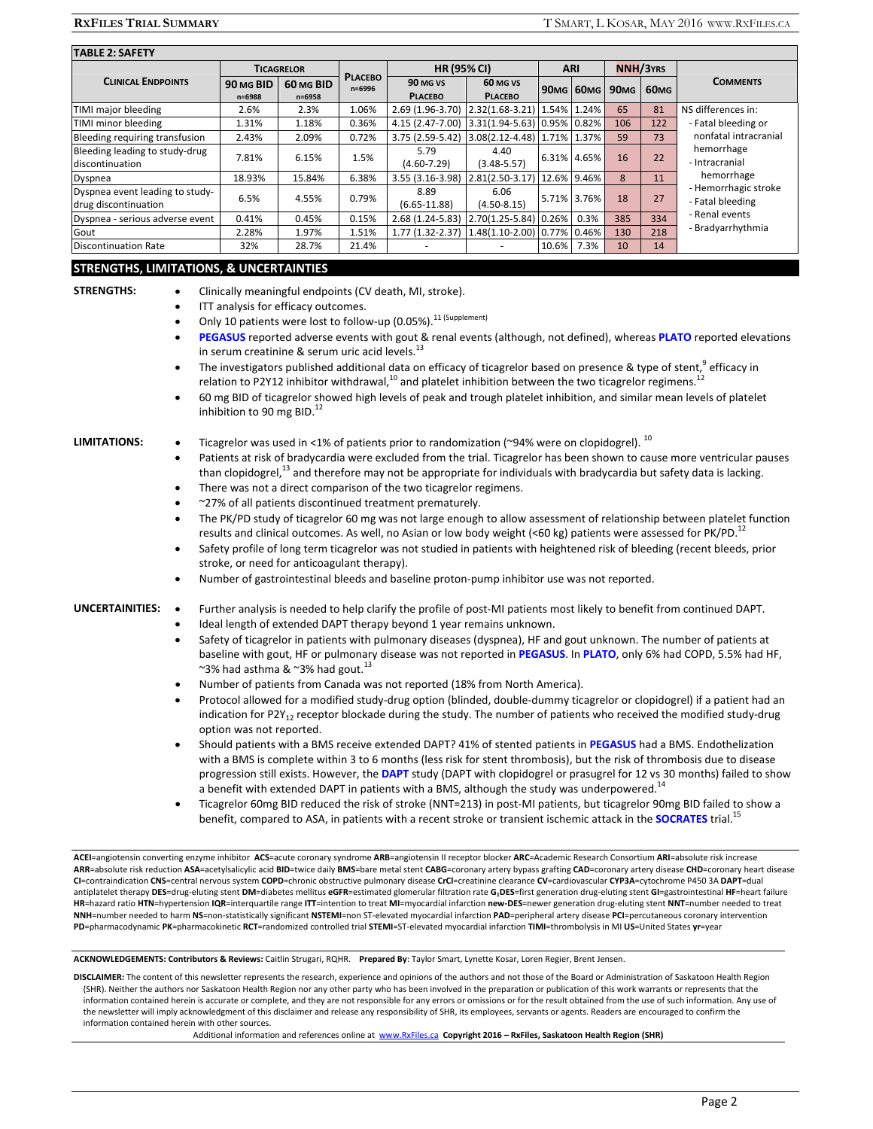| <b>TABLE 2: SAFETY</b>                                                                                                                                                                                                                                                 |                                                                                                                                                                                                                                                                                                                                                                                                                                                                                                                                                                                                                                                                                                                                                                                                                                                                                                                                                                                                                                                                                                                                                                                                                                                                                                                                                                                                                                                                                                                                                                                                                                                                                                          |                                              |                          |                                                                                                                                                                                                                                                                                                                                                                                              |                                            |                |                  |                  |                  |                                                                                                                                                                                                                                                                                                                                                                                                                                                                                                                                                                                                                                                                                                                                                                                                                                                                                                                                                                                                                                                                                                                                       |
|------------------------------------------------------------------------------------------------------------------------------------------------------------------------------------------------------------------------------------------------------------------------|----------------------------------------------------------------------------------------------------------------------------------------------------------------------------------------------------------------------------------------------------------------------------------------------------------------------------------------------------------------------------------------------------------------------------------------------------------------------------------------------------------------------------------------------------------------------------------------------------------------------------------------------------------------------------------------------------------------------------------------------------------------------------------------------------------------------------------------------------------------------------------------------------------------------------------------------------------------------------------------------------------------------------------------------------------------------------------------------------------------------------------------------------------------------------------------------------------------------------------------------------------------------------------------------------------------------------------------------------------------------------------------------------------------------------------------------------------------------------------------------------------------------------------------------------------------------------------------------------------------------------------------------------------------------------------------------------------|----------------------------------------------|--------------------------|----------------------------------------------------------------------------------------------------------------------------------------------------------------------------------------------------------------------------------------------------------------------------------------------------------------------------------------------------------------------------------------------|--------------------------------------------|----------------|------------------|------------------|------------------|---------------------------------------------------------------------------------------------------------------------------------------------------------------------------------------------------------------------------------------------------------------------------------------------------------------------------------------------------------------------------------------------------------------------------------------------------------------------------------------------------------------------------------------------------------------------------------------------------------------------------------------------------------------------------------------------------------------------------------------------------------------------------------------------------------------------------------------------------------------------------------------------------------------------------------------------------------------------------------------------------------------------------------------------------------------------------------------------------------------------------------------|
|                                                                                                                                                                                                                                                                        | <b>TICAGRELOR</b>                                                                                                                                                                                                                                                                                                                                                                                                                                                                                                                                                                                                                                                                                                                                                                                                                                                                                                                                                                                                                                                                                                                                                                                                                                                                                                                                                                                                                                                                                                                                                                                                                                                                                        |                                              |                          | <b>HR (95% CI)</b>                                                                                                                                                                                                                                                                                                                                                                           |                                            | <b>ARI</b>     |                  | <b>NNH/3YRS</b>  |                  |                                                                                                                                                                                                                                                                                                                                                                                                                                                                                                                                                                                                                                                                                                                                                                                                                                                                                                                                                                                                                                                                                                                                       |
| <b>CLINICAL ENDPOINTS</b>                                                                                                                                                                                                                                              | 90 MG BID<br>n=6988                                                                                                                                                                                                                                                                                                                                                                                                                                                                                                                                                                                                                                                                                                                                                                                                                                                                                                                                                                                                                                                                                                                                                                                                                                                                                                                                                                                                                                                                                                                                                                                                                                                                                      | 60 MG BID<br>n=6958                          | <b>PLACEBO</b><br>n=6996 | 90 MG VS<br><b>PLACEBO</b>                                                                                                                                                                                                                                                                                                                                                                   | 60 MG VS<br><b>PLACEBO</b>                 |                | <b>90MG 60MG</b> | 90 <sub>MG</sub> | 60 <sub>MG</sub> | <b>COMMENTS</b>                                                                                                                                                                                                                                                                                                                                                                                                                                                                                                                                                                                                                                                                                                                                                                                                                                                                                                                                                                                                                                                                                                                       |
| TIMI major bleeding                                                                                                                                                                                                                                                    | 2.6%                                                                                                                                                                                                                                                                                                                                                                                                                                                                                                                                                                                                                                                                                                                                                                                                                                                                                                                                                                                                                                                                                                                                                                                                                                                                                                                                                                                                                                                                                                                                                                                                                                                                                                     | 2.3%                                         | 1.06%                    | 2.69 (1.96-3.70) 2.32(1.68-3.21)                                                                                                                                                                                                                                                                                                                                                             |                                            | 1.54% 1.24%    |                  | 65               | 81               | NS differences in:                                                                                                                                                                                                                                                                                                                                                                                                                                                                                                                                                                                                                                                                                                                                                                                                                                                                                                                                                                                                                                                                                                                    |
| TIMI minor bleeding                                                                                                                                                                                                                                                    | 1.31%                                                                                                                                                                                                                                                                                                                                                                                                                                                                                                                                                                                                                                                                                                                                                                                                                                                                                                                                                                                                                                                                                                                                                                                                                                                                                                                                                                                                                                                                                                                                                                                                                                                                                                    | 1.18%                                        | 0.36%                    | 4.15 (2.47-7.00)                                                                                                                                                                                                                                                                                                                                                                             | $3.31(1.94 - 5.63)$                        | 0.95% 0.82%    |                  | 106              | 122              | - Fatal bleeding or                                                                                                                                                                                                                                                                                                                                                                                                                                                                                                                                                                                                                                                                                                                                                                                                                                                                                                                                                                                                                                                                                                                   |
| Bleeding requiring transfusion<br>Bleeding leading to study-drug                                                                                                                                                                                                       | 2.43%                                                                                                                                                                                                                                                                                                                                                                                                                                                                                                                                                                                                                                                                                                                                                                                                                                                                                                                                                                                                                                                                                                                                                                                                                                                                                                                                                                                                                                                                                                                                                                                                                                                                                                    | 2.09%                                        | 0.72%                    | 3.75 (2.59-5.42)<br>5.79                                                                                                                                                                                                                                                                                                                                                                     | $3.08(2.12 - 4.48)$<br>4.40                |                | 1.71% 1.37%      | 59               | 73               | nonfatal intracranial<br>hemorrhage                                                                                                                                                                                                                                                                                                                                                                                                                                                                                                                                                                                                                                                                                                                                                                                                                                                                                                                                                                                                                                                                                                   |
| discontinuation                                                                                                                                                                                                                                                        | 7.81%                                                                                                                                                                                                                                                                                                                                                                                                                                                                                                                                                                                                                                                                                                                                                                                                                                                                                                                                                                                                                                                                                                                                                                                                                                                                                                                                                                                                                                                                                                                                                                                                                                                                                                    | 6.15%                                        | 1.5%                     | $(4.60 - 7.29)$                                                                                                                                                                                                                                                                                                                                                                              | $(3.48 - 5.57)$                            |                | 6.31% 4.65%      | 16               | 22               | - Intracranial<br>hemorrhage                                                                                                                                                                                                                                                                                                                                                                                                                                                                                                                                                                                                                                                                                                                                                                                                                                                                                                                                                                                                                                                                                                          |
| Dyspnea<br>Dyspnea event leading to study-                                                                                                                                                                                                                             | 18.93%                                                                                                                                                                                                                                                                                                                                                                                                                                                                                                                                                                                                                                                                                                                                                                                                                                                                                                                                                                                                                                                                                                                                                                                                                                                                                                                                                                                                                                                                                                                                                                                                                                                                                                   | 15.84%                                       | 6.38%                    | 3.55 (3.16-3.98) 2.81(2.50-3.17)<br>8.89                                                                                                                                                                                                                                                                                                                                                     | 6.06                                       |                | 12.6% 9.46%      | 8                | 11               | - Hemorrhagic stroke                                                                                                                                                                                                                                                                                                                                                                                                                                                                                                                                                                                                                                                                                                                                                                                                                                                                                                                                                                                                                                                                                                                  |
| drug discontinuation                                                                                                                                                                                                                                                   | 6.5%                                                                                                                                                                                                                                                                                                                                                                                                                                                                                                                                                                                                                                                                                                                                                                                                                                                                                                                                                                                                                                                                                                                                                                                                                                                                                                                                                                                                                                                                                                                                                                                                                                                                                                     | 4.55%                                        | 0.79%                    | $(6.65 - 11.88)$                                                                                                                                                                                                                                                                                                                                                                             | $(4.50 - 8.15)$                            |                | 5.71% 3.76%      | 18               | 27               | - Fatal bleeding<br>- Renal events                                                                                                                                                                                                                                                                                                                                                                                                                                                                                                                                                                                                                                                                                                                                                                                                                                                                                                                                                                                                                                                                                                    |
| Dyspnea - serious adverse event                                                                                                                                                                                                                                        | 0.41%                                                                                                                                                                                                                                                                                                                                                                                                                                                                                                                                                                                                                                                                                                                                                                                                                                                                                                                                                                                                                                                                                                                                                                                                                                                                                                                                                                                                                                                                                                                                                                                                                                                                                                    | 0.45%                                        | 0.15%                    | 2.68 (1.24-5.83)<br>$1.77(1.32 - 2.37)$                                                                                                                                                                                                                                                                                                                                                      | 2.70(1.25-5.84) 0.26%<br>$1.48(1.10-2.00)$ |                | 0.3%             | 385              | 334              | - Bradyarrhythmia                                                                                                                                                                                                                                                                                                                                                                                                                                                                                                                                                                                                                                                                                                                                                                                                                                                                                                                                                                                                                                                                                                                     |
| Gout<br><b>Discontinuation Rate</b>                                                                                                                                                                                                                                    | 2.28%<br>32%                                                                                                                                                                                                                                                                                                                                                                                                                                                                                                                                                                                                                                                                                                                                                                                                                                                                                                                                                                                                                                                                                                                                                                                                                                                                                                                                                                                                                                                                                                                                                                                                                                                                                             | 1.97%<br>28.7%                               | 1.51%<br>21.4%           |                                                                                                                                                                                                                                                                                                                                                                                              |                                            | 0.77%<br>10.6% | 0.46%<br>7.3%    | 130<br>10        | 218<br>14        |                                                                                                                                                                                                                                                                                                                                                                                                                                                                                                                                                                                                                                                                                                                                                                                                                                                                                                                                                                                                                                                                                                                                       |
|                                                                                                                                                                                                                                                                        |                                                                                                                                                                                                                                                                                                                                                                                                                                                                                                                                                                                                                                                                                                                                                                                                                                                                                                                                                                                                                                                                                                                                                                                                                                                                                                                                                                                                                                                                                                                                                                                                                                                                                                          |                                              |                          |                                                                                                                                                                                                                                                                                                                                                                                              |                                            |                |                  |                  |                  |                                                                                                                                                                                                                                                                                                                                                                                                                                                                                                                                                                                                                                                                                                                                                                                                                                                                                                                                                                                                                                                                                                                                       |
| <b>STRENGTHS, LIMITATIONS, &amp; UNCERTAINTIES</b>                                                                                                                                                                                                                     |                                                                                                                                                                                                                                                                                                                                                                                                                                                                                                                                                                                                                                                                                                                                                                                                                                                                                                                                                                                                                                                                                                                                                                                                                                                                                                                                                                                                                                                                                                                                                                                                                                                                                                          |                                              |                          |                                                                                                                                                                                                                                                                                                                                                                                              |                                            |                |                  |                  |                  |                                                                                                                                                                                                                                                                                                                                                                                                                                                                                                                                                                                                                                                                                                                                                                                                                                                                                                                                                                                                                                                                                                                                       |
| $\bullet$<br>$\bullet$<br>$\bullet$<br>$\bullet$<br>$\bullet$<br>LIMITATIONS:<br>$\bullet$<br>$\bullet$<br>$\bullet$<br>$\bullet$<br>$\bullet$<br>$\bullet$<br>Number of gastrointestinal bleeds and baseline proton-pump inhibitor use was not reported.<br>$\bullet$ | ITT analysis for efficacy outcomes.<br>Only 10 patients were lost to follow-up (0.05%). <sup>11 (Supplement)</sup><br>PEGASUS reported adverse events with gout & renal events (although, not defined), whereas PLATO reported elevations<br>in serum creatinine & serum uric acid levels. <sup>13</sup><br>The investigators published additional data on efficacy of ticagrelor based on presence & type of stent, <sup>9</sup> efficacy in<br>relation to P2Y12 inhibitor withdrawal, <sup>10</sup> and platelet inhibition between the two ticagrelor regimens. <sup>12</sup><br>60 mg BID of ticagrelor showed high levels of peak and trough platelet inhibition, and similar mean levels of platelet<br>inhibition to 90 mg BID. <sup>12</sup><br>Ticagrelor was used in <1% of patients prior to randomization (~94% were on clopidogrel). <sup>10</sup><br>Patients at risk of bradycardia were excluded from the trial. Ticagrelor has been shown to cause more ventricular pauses<br>than clopidogrel, <sup>13</sup> and therefore may not be appropriate for individuals with bradycardia but safety data is lacking.<br>There was not a direct comparison of the two ticagrelor regimens.<br>~27% of all patients discontinued treatment prematurely.<br>The PK/PD study of ticagrelor 60 mg was not large enough to allow assessment of relationship between platelet function<br>results and clinical outcomes. As well, no Asian or low body weight (<60 kg) patients were assessed for PK/PD. <sup>12</sup><br>Safety profile of long term ticagrelor was not studied in patients with heightened risk of bleeding (recent bleeds, prior<br>stroke, or need for anticoagulant therapy). |                                              |                          |                                                                                                                                                                                                                                                                                                                                                                                              |                                            |                |                  |                  |                  |                                                                                                                                                                                                                                                                                                                                                                                                                                                                                                                                                                                                                                                                                                                                                                                                                                                                                                                                                                                                                                                                                                                                       |
| <b>UNCERTAINITIES:</b><br>$\bullet$<br>$\bullet$<br>$\bullet$<br>$\bullet$<br>$\bullet$<br>$\bullet$<br>$\bullet$                                                                                                                                                      | option was not reported.                                                                                                                                                                                                                                                                                                                                                                                                                                                                                                                                                                                                                                                                                                                                                                                                                                                                                                                                                                                                                                                                                                                                                                                                                                                                                                                                                                                                                                                                                                                                                                                                                                                                                 | ~3% had asthma & ~3% had gout. <sup>13</sup> |                          | Ideal length of extended DAPT therapy beyond 1 year remains unknown.<br>Number of patients from Canada was not reported (18% from North America).<br>a benefit with extended DAPT in patients with a BMS, although the study was underpowered. <sup>14</sup><br>benefit, compared to ASA, in patients with a recent stroke or transient ischemic attack in the SOCRATES trial. <sup>15</sup> |                                            |                |                  |                  |                  | Further analysis is needed to help clarify the profile of post-MI patients most likely to benefit from continued DAPT.<br>Safety of ticagrelor in patients with pulmonary diseases (dyspnea), HF and gout unknown. The number of patients at<br>baseline with gout, HF or pulmonary disease was not reported in PEGASUS. In PLATO, only 6% had COPD, 5.5% had HF,<br>Protocol allowed for a modified study-drug option (blinded, double-dummy ticagrelor or clopidogrel) if a patient had an<br>indication for P2Y <sub>12</sub> receptor blockade during the study. The number of patients who received the modified study-drug<br>Should patients with a BMS receive extended DAPT? 41% of stented patients in PEGASUS had a BMS. Endothelization<br>with a BMS is complete within 3 to 6 months (less risk for stent thrombosis), but the risk of thrombosis due to disease<br>progression still exists. However, the DAPT study (DAPT with clopidogrel or prasugrel for 12 vs 30 months) failed to show<br>Ticagrelor 60mg BID reduced the risk of stroke (NNT=213) in post-MI patients, but ticagrelor 90mg BID failed to show a |

**ACEI**=angiotensin converting enzyme inhibitor **ACS**=acute coronary syndrome **ARB**=angiotensin II receptor blocker **ARC**=Academic Research Consortium **ARI**=absolute risk increase ARR=absolute risk reduction ASA=acetylsalicylic acid BID=twice daily BMS=bare metal stent CABG=coronary artery bypass grafting CAD=coronary artery disease CHD=coronary heart disease **CI**=contraindication **CNS**=central nervous system **COPD**=chronic obstructive pulmonary disease **CrCl**=creatinine clearance **CV**=cardiovascular **CYP3A**=cytochrome P450 3A **DAPT**=dual antiplatelet therapy DES=drug-eluting stent DM=diabetes mellitus eGFR=estimated glomerular filtration rate G<sub>1</sub>DES=first generation drug-eluting stent GI=gastrointestinal HF=heart failure HR=hazard ratio HTN=hypertension IQR=interquartile range ITT=intention to treat MI=myocardial infarction new-DES=newer generation drug-eluting stent NNT=number needed to treat **NNH**=number needed to harm **NS**=non‐statistically significant **NSTEMI**=non ST‐elevated myocardial infarction **PAD**=peripheral artery disease **PCI**=percutaneous coronary intervention **PD**=pharmacodynamic **PK**=pharmacokinetic **RCT**=randomized controlled trial **STEMI**=ST‐elevated myocardial infarction **TIMI**=thrombolysis in MI **US**=United States **yr**=year

**ACKNOWLEDGEMENTS: Contributors & Reviews:** Caitlin Strugari, RQHR. **Prepared By**: Taylor Smart, Lynette Kosar, Loren Regier, Brent Jensen.

**DISCLAIMER:** The content of this newsletter represents the research, experience and opinions of the authors and not those of the Board or Administration of Saskatoon Health Region (SHR). Neither the authors nor Saskatoon Health Region nor any other party who has been involved in the preparation or publication of this work warrants or represents that the information contained herein is accurate or complete, and they are not responsible for any errors or omissions or for the result obtained from the use of such information. Any use of the newsletter will imply acknowledgment of this disclaimer and release any responsibility of SHR, its employees, servants or agents. Readers are encouraged to confirm the information contained herein with other sources.

Additional information and references online at www.RxFiles.ca **Copyright 2016 – RxFiles, Saskatoon Health Region (SHR)**